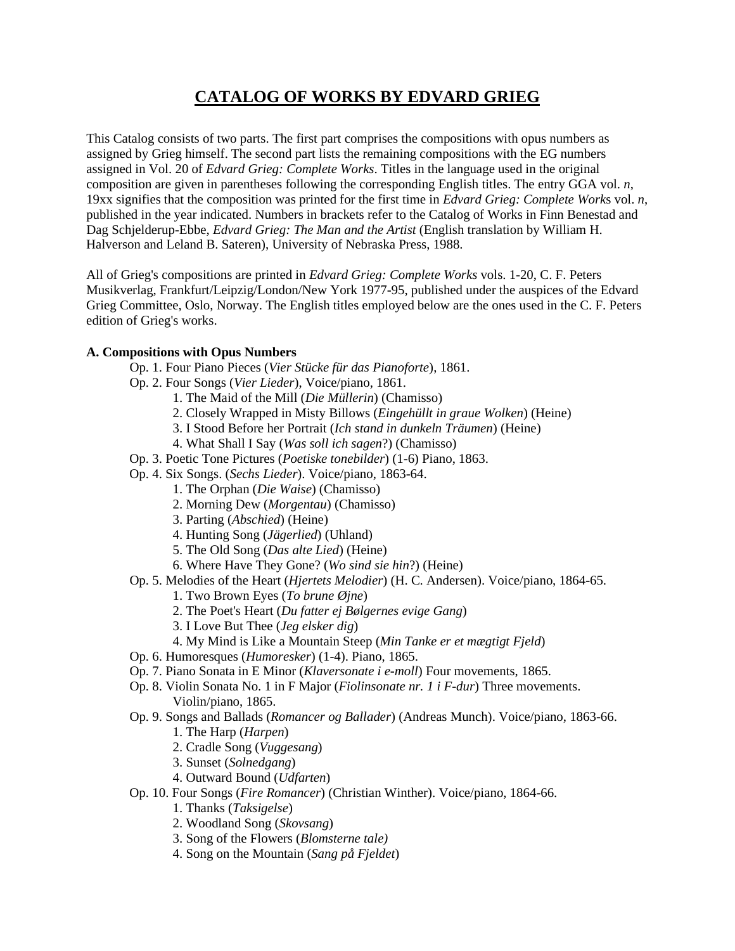## **CATALOG OF WORKS BY EDVARD GRIEG**

This Catalog consists of two parts. The first part comprises the compositions with opus numbers as assigned by Grieg himself. The second part lists the remaining compositions with the EG numbers assigned in Vol. 20 of *Edvard Grieg: Complete Works*. Titles in the language used in the original composition are given in parentheses following the corresponding English titles. The entry GGA vol. *n*, 19xx signifies that the composition was printed for the first time in *Edvard Grieg: Complete Work*s vol. *n*, published in the year indicated. Numbers in brackets refer to the Catalog of Works in Finn Benestad and Dag Schjelderup-Ebbe, *Edvard Grieg: The Man and the Artist* (English translation by William H. Halverson and Leland B. Sateren), University of Nebraska Press, 1988.

All of Grieg's compositions are printed in *Edvard Grieg: Complete Works* vols. 1-20, C. F. Peters Musikverlag, Frankfurt/Leipzig/London/New York 1977-95, published under the auspices of the Edvard Grieg Committee, Oslo, Norway. The English titles employed below are the ones used in the C. F. Peters edition of Grieg's works.

## **A. Compositions with Opus Numbers**

- Op. 1. Four Piano Pieces (*Vier Stücke für das Pianoforte*), 1861.
- Op. 2. Four Songs (*Vier Lieder*), Voice/piano, 1861.
	- 1. The Maid of the Mill (*Die Müllerin*) (Chamisso)
	- 2. Closely Wrapped in Misty Billows (*Eingehüllt in graue Wolken*) (Heine)
	- 3. I Stood Before her Portrait (*Ich stand in dunkeln Träumen*) (Heine)
	- 4. What Shall I Say (*Was soll ich sagen*?) (Chamisso)
- Op. 3. Poetic Tone Pictures (*Poetiske tonebilder*) (1-6) Piano, 1863.
- Op. 4. Six Songs. (*Sechs Lieder*). Voice/piano, 1863-64.
	- 1. The Orphan (*Die Waise*) (Chamisso)
	- 2. Morning Dew (*Morgentau*) (Chamisso)
	- 3. Parting (*Abschied*) (Heine)
	- 4. Hunting Song (*Jägerlied*) (Uhland)
	- 5. The Old Song (*Das alte Lied*) (Heine)
	- 6. Where Have They Gone? (*Wo sind sie hin*?) (Heine)
- Op. 5. Melodies of the Heart (*Hjertets Melodier*) (H. C. Andersen). Voice/piano, 1864-65.
	- 1. Two Brown Eyes (*To brune Øjne*)
	- 2. The Poet's Heart (*Du fatter ej Bølgernes evige Gang*)
	- 3. I Love But Thee (*Jeg elsker dig*)
	- 4. My Mind is Like a Mountain Steep (*Min Tanke er et mægtigt Fjeld*)
- Op. 6. Humoresques (*Humoresker*) (1-4). Piano, 1865.
- Op. 7. Piano Sonata in E Minor (*Klaversonate i e-moll*) Four movements, 1865.
- Op. 8. Violin Sonata No. 1 in F Major (*Fiolinsonate nr. 1 i F-dur*) Three movements. Violin/piano, 1865.
- Op. 9. Songs and Ballads (*Romancer og Ballader*) (Andreas Munch). Voice/piano, 1863-66.
	- 1. The Harp (*Harpen*)
	- 2. Cradle Song (*Vuggesang*)
	- 3. Sunset (*Solnedgang*)
	- 4. Outward Bound (*Udfarten*)
- Op. 10. Four Songs (*Fire Romancer*) (Christian Winther). Voice/piano, 1864-66.
	- 1. Thanks (*Taksigelse*)
	- 2. Woodland Song (*Skovsang*)
	- 3. Song of the Flowers (*Blomsterne tale)*
	- 4. Song on the Mountain (*Sang på Fjeldet*)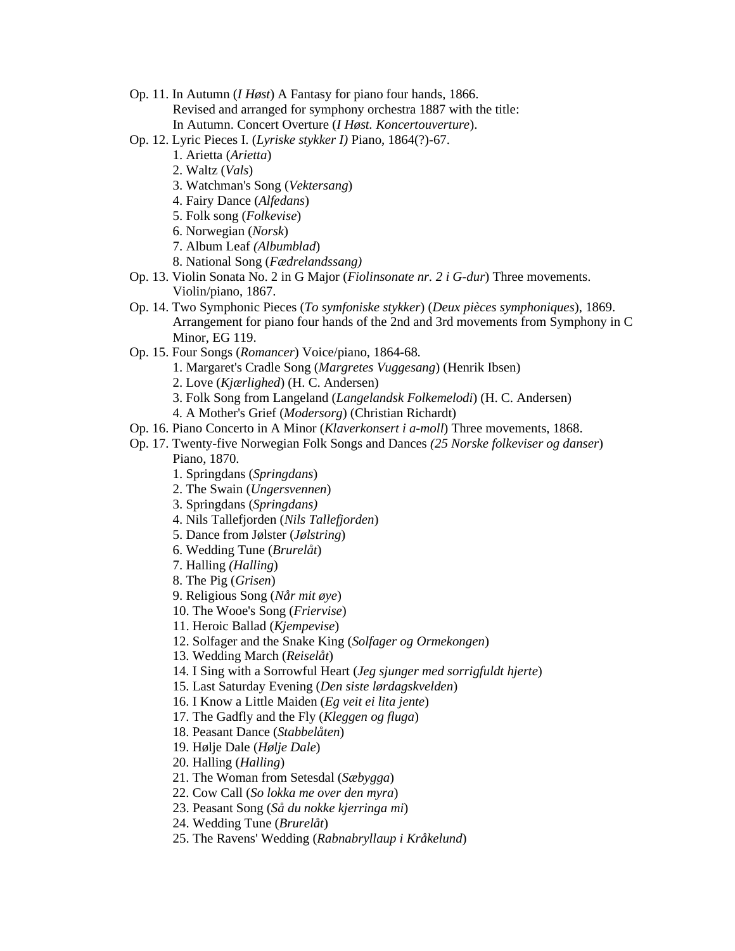- Op. 11. In Autumn (*I Høst*) A Fantasy for piano four hands, 1866. Revised and arranged for symphony orchestra 1887 with the title: In Autumn. Concert Overture (*I Høst. Koncertouverture*).
- Op. 12. Lyric Pieces I. (*Lyriske stykker I)* Piano, 1864(?)-67.
	- 1. Arietta (*Arietta*)
	- 2. Waltz (*Vals*)
	- 3. Watchman's Song (*Vektersang*)
	- 4. Fairy Dance (*Alfedans*)
	- 5. Folk song (*Folkevise*)
	- 6. Norwegian (*Norsk*)
	- 7. Album Leaf *(Albumblad*)
	- 8. National Song (*Fædrelandssang)*
- Op. 13. Violin Sonata No. 2 in G Major (*Fiolinsonate nr. 2 i G-dur*) Three movements. Violin/piano, 1867.
- Op. 14. Two Symphonic Pieces (*To symfoniske stykker*) (*Deux pièces symphoniques*), 1869. Arrangement for piano four hands of the 2nd and 3rd movements from Symphony in C Minor, EG 119.
- Op. 15. Four Songs (*Romancer*) Voice/piano, 1864-68.
	- 1. Margaret's Cradle Song (*Margretes Vuggesang*) (Henrik Ibsen)
	- 2. Love (*Kjærlighed*) (H. C. Andersen)
	- 3. Folk Song from Langeland (*Langelandsk Folkemelodi*) (H. C. Andersen)
	- 4. A Mother's Grief (*Modersorg*) (Christian Richardt)
- Op. 16. Piano Concerto in A Minor (*Klaverkonsert i a-moll*) Three movements, 1868.
- Op. 17. Twenty-five Norwegian Folk Songs and Dances *(25 Norske folkeviser og danser*) Piano, 1870.
	- 1. Springdans (*Springdans*)
	- 2. The Swain (*Ungersvennen*)
	- 3. Springdans (*Springdans)*
	- 4. Nils Tallefjorden (*Nils Tallefjorden*)
	- 5. Dance from Jølster (*Jølstring*)
	- 6. Wedding Tune (*Brurelåt*)
	- 7. Halling *(Halling*)
	- 8. The Pig (*Grisen*)
	- 9. Religious Song (*Når mit øye*)
	- 10. The Wooe's Song (*Friervise*)
	- 11. Heroic Ballad (*Kjempevise*)
	- 12. Solfager and the Snake King (*Solfager og Ormekongen*)
	- 13. Wedding March (*Reiselåt*)
	- 14. I Sing with a Sorrowful Heart (*Jeg sjunger med sorrigfuldt hjerte*)
	- 15. Last Saturday Evening (*Den siste lørdagskvelden*)
	- 16. I Know a Little Maiden (*Eg veit ei lita jente*)
	- 17. The Gadfly and the Fly (*Kleggen og fluga*)
	- 18. Peasant Dance (*Stabbelåten*)
	- 19. Hølje Dale (*Hølje Dale*)
	- 20. Halling (*Halling*)
	- 21. The Woman from Setesdal (*Sæbygga*)
	- 22. Cow Call (*So lokka me over den myra*)
	- 23. Peasant Song (*Så du nokke kjerringa mi*)
	- 24. Wedding Tune (*Brurelåt*)
	- 25. The Ravens' Wedding (*Rabnabryllaup i Kråkelund*)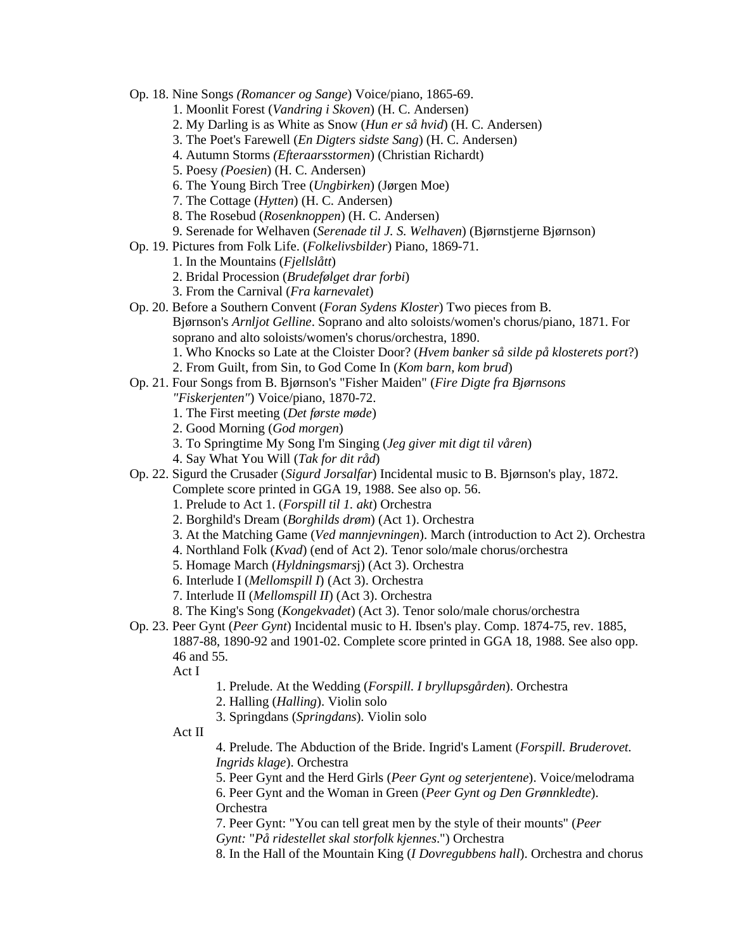- Op. 18. Nine Songs *(Romancer og Sange*) Voice/piano, 1865-69.
	- 1. Moonlit Forest (*Vandring i Skoven*) (H. C. Andersen)
	- 2. My Darling is as White as Snow (*Hun er så hvid*) (H. C. Andersen)
	- 3. The Poet's Farewell (*En Digters sidste Sang*) (H. C. Andersen)
	- 4. Autumn Storms *(Efteraarsstormen*) (Christian Richardt)
	- 5. Poesy *(Poesien*) (H. C. Andersen)
	- 6. The Young Birch Tree (*Ungbirken*) (Jørgen Moe)
	- 7. The Cottage (*Hytten*) (H. C. Andersen)
	- 8. The Rosebud (*Rosenknoppen*) (H. C. Andersen)
	- 9. Serenade for Welhaven (*Serenade til J. S. Welhaven*) (Bjørnstjerne Bjørnson)
- Op. 19. Pictures from Folk Life. (*Folkelivsbilder*) Piano, 1869-71.
	- 1. In the Mountains (*Fjellslått*)
	- 2. Bridal Procession (*Brudefølget drar forbi*)
	- 3. From the Carnival (*Fra karnevalet*)
- Op. 20. Before a Southern Convent (*Foran Sydens Kloster*) Two pieces from B. Bjørnson's *Arnljot Gelline*. Soprano and alto soloists/women's chorus/piano, 1871. For soprano and alto soloists/women's chorus/orchestra, 1890.
	- 1. Who Knocks so Late at the Cloister Door? (*Hvem banker så silde på klosterets port*?)
	- 2. From Guilt, from Sin, to God Come In (*Kom barn, kom brud*)
- Op. 21. Four Songs from B. Bjørnson's "Fisher Maiden" (*Fire Digte fra Bjørnsons*
	- *"Fiskerjenten"*) Voice/piano, 1870-72.
	- 1. The First meeting (*Det første møde*)
	- 2. Good Morning (*God morgen*)
	- 3. To Springtime My Song I'm Singing (*Jeg giver mit digt til våren*)
	- 4. Say What You Will (*Tak for dit råd*)
- Op. 22. Sigurd the Crusader (*Sigurd Jorsalfar*) Incidental music to B. Bjørnson's play, 1872.
	- Complete score printed in GGA 19, 1988. See also op. 56.
		- 1. Prelude to Act 1. (*Forspill til 1. akt*) Orchestra
		- 2. Borghild's Dream (*Borghilds drøm*) (Act 1). Orchestra
		- 3. At the Matching Game (*Ved mannjevningen*). March (introduction to Act 2). Orchestra
		- 4. Northland Folk (*Kvad*) (end of Act 2). Tenor solo/male chorus/orchestra
		- 5. Homage March (*Hyldningsmars*j) (Act 3). Orchestra
		- 6. Interlude I (*Mellomspill I*) (Act 3). Orchestra
		- 7. Interlude II (*Mellomspill II*) (Act 3). Orchestra
		- 8. The King's Song (*Kongekvadet*) (Act 3). Tenor solo/male chorus/orchestra
- Op. 23. Peer Gynt (*Peer Gynt*) Incidental music to H. Ibsen's play. Comp. 1874-75, rev. 1885, 1887-88, 1890-92 and 1901-02. Complete score printed in GGA 18, 1988. See also opp. 46 and 55.

Act I

- 1. Prelude. At the Wedding (*Forspill. I bryllupsgården*). Orchestra
- 2. Halling (*Halling*). Violin solo
- 3. Springdans (*Springdans*). Violin solo
- Act II

4. Prelude. The Abduction of the Bride. Ingrid's Lament (*Forspill. Bruderovet. Ingrids klage*). Orchestra

5. Peer Gynt and the Herd Girls (*Peer Gynt og seterjentene*). Voice/melodrama

6. Peer Gynt and the Woman in Green (*Peer Gynt og Den Grønnkledte*). **Orchestra** 

7. Peer Gynt: "You can tell great men by the style of their mounts" (*Peer Gynt:* "*På ridestellet skal storfolk kjennes*.") Orchestra

8. In the Hall of the Mountain King (*I Dovregubbens hall*). Orchestra and chorus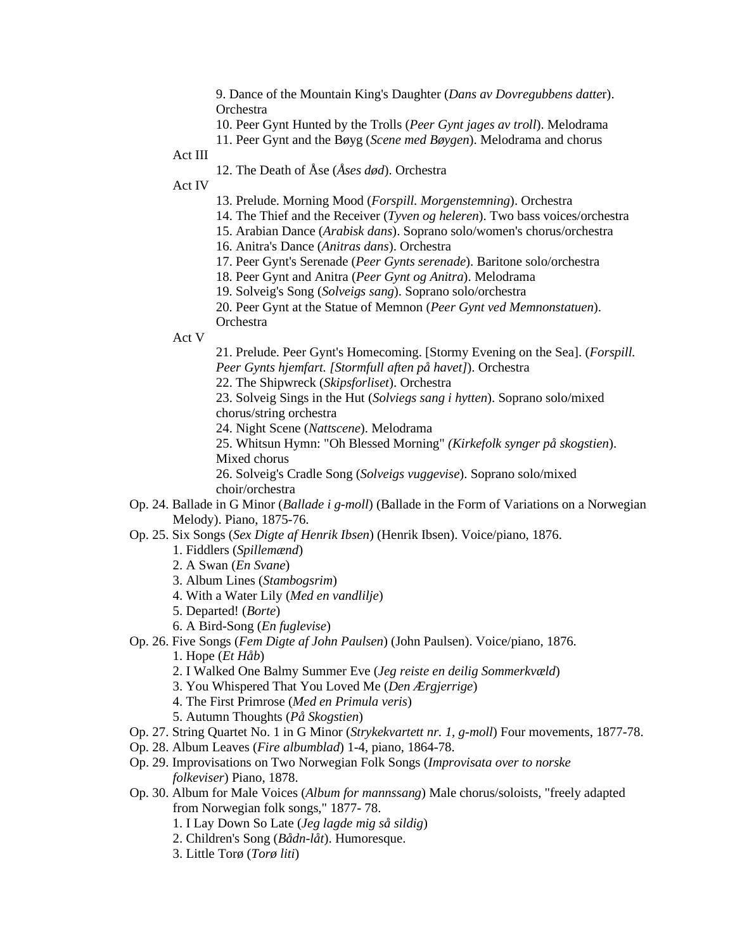9. Dance of the Mountain King's Daughter (*Dans av Dovregubbens datte*r). Orchestra

- 10. Peer Gynt Hunted by the Trolls (*Peer Gynt jages av troll*). Melodrama
- 11. Peer Gynt and the Bøyg (*Scene med Bøygen*). Melodrama and chorus
- Act III
	- 12. The Death of Åse (*Åses død*). Orchestra

Act IV

- 13. Prelude. Morning Mood (*Forspill. Morgenstemning*). Orchestra
- 14. The Thief and the Receiver (*Tyven og heleren*). Two bass voices/orchestra
- 15. Arabian Dance (*Arabisk dans*). Soprano solo/women's chorus/orchestra
- 16. Anitra's Dance (*Anitras dans*). Orchestra
- 17. Peer Gynt's Serenade (*Peer Gynts serenade*). Baritone solo/orchestra
- 18. Peer Gynt and Anitra (*Peer Gynt og Anitra*). Melodrama
- 19. Solveig's Song (*Solveigs sang*). Soprano solo/orchestra
- 20. Peer Gynt at the Statue of Memnon (*Peer Gynt ved Memnonstatuen*).
- **Orchestra**
- Act V
- 21. Prelude. Peer Gynt's Homecoming. [Stormy Evening on the Sea]. (*Forspill. Peer Gynts hjemfart. [Stormfull aften på havet]*). Orchestra
- 22. The Shipwreck (*Skipsforliset*). Orchestra

23. Solveig Sings in the Hut (*Solviegs sang i hytten*). Soprano solo/mixed chorus/string orchestra

24. Night Scene (*Nattscene*). Melodrama

25. Whitsun Hymn: "Oh Blessed Morning" *(Kirkefolk synger på skogstien*). Mixed chorus

26. Solveig's Cradle Song (*Solveigs vuggevise*). Soprano solo/mixed choir/orchestra

- Op. 24. Ballade in G Minor (*Ballade i g-moll*) (Ballade in the Form of Variations on a Norwegian Melody). Piano, 1875-76.
- Op. 25. Six Songs (*Sex Digte af Henrik Ibsen*) (Henrik Ibsen). Voice/piano, 1876.
	- 1. Fiddlers (*Spillemænd*)
	- 2. A Swan (*En Svane*)
	- 3. Album Lines (*Stambogsrim*)
	- 4. With a Water Lily (*Med en vandlilje*)
	- 5. Departed! (*Borte*)
	- 6. A Bird-Song (*En fuglevise*)
- Op. 26. Five Songs (*Fem Digte af John Paulsen*) (John Paulsen). Voice/piano, 1876.
	- 1. Hope (*Et Håb*)
	- 2. I Walked One Balmy Summer Eve (*Jeg reiste en deilig Sommerkvæld*)
	- 3. You Whispered That You Loved Me (*Den Ærgjerrige*)
	- 4. The First Primrose (*Med en Primula veris*)
	- 5. Autumn Thoughts (*På Skogstien*)
- Op. 27. String Quartet No. 1 in G Minor (*Strykekvartett nr. 1, g-moll*) Four movements, 1877-78.
- Op. 28. Album Leaves (*Fire albumblad*) 1-4, piano, 1864-78.
- Op. 29. Improvisations on Two Norwegian Folk Songs (*Improvisata over to norske folkeviser*) Piano, 1878.
- Op. 30. Album for Male Voices (*Album for mannssang*) Male chorus/soloists, "freely adapted from Norwegian folk songs," 1877- 78.
	- 1. I Lay Down So Late (*Jeg lagde mig så sildig*)
	- 2. Children's Song (*Bådn-låt*). Humoresque.
	- 3. Little Torø (*Torø liti*)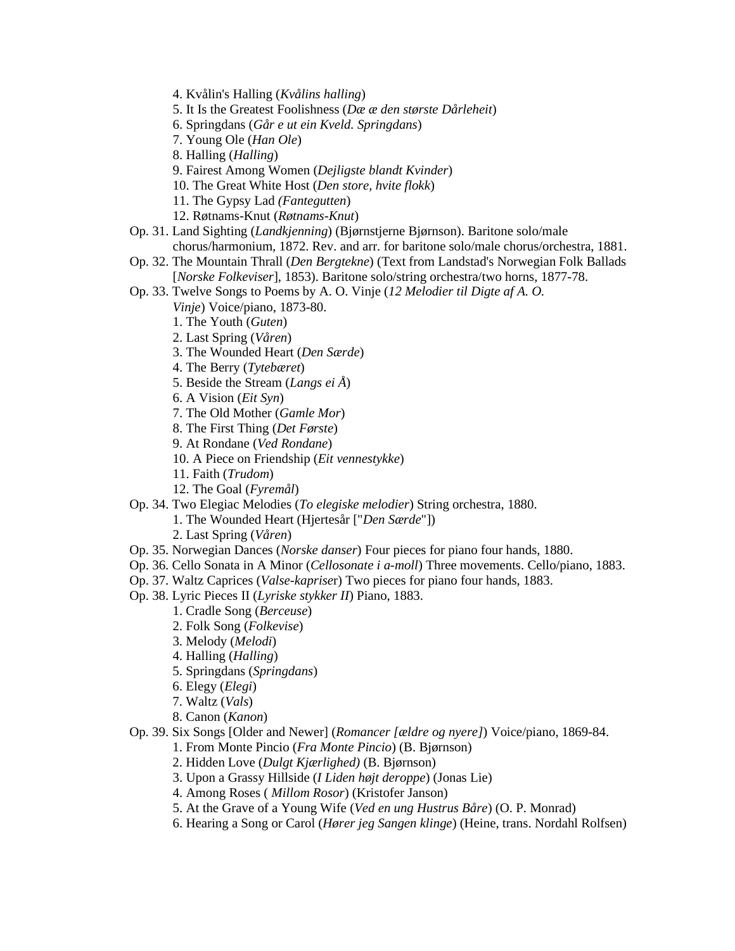- 4. Kvålin's Halling (*Kvålins halling*)
- 5. It Is the Greatest Foolishness (*Dæ æ den største Dårleheit*)
- 6. Springdans (*Går e ut ein Kveld. Springdans*)
- 7. Young Ole (*Han Ole*)
- 8. Halling (*Halling*)
- 9. Fairest Among Women (*Dejligste blandt Kvinder*)
- 10. The Great White Host (*Den store, hvite flokk*)
- 11. The Gypsy Lad *(Fantegutten*)
- 12. Røtnams-Knut (*Røtnams-Knut*)
- Op. 31. Land Sighting (*Landkjenning*) (Bjørnstjerne Bjørnson). Baritone solo/male chorus/harmonium, 1872. Rev. and arr. for baritone solo/male chorus/orchestra, 1881.
- Op. 32. The Mountain Thrall (*Den Bergtekne*) (Text from Landstad's Norwegian Folk Ballads [*Norske Folkeviser*], 1853). Baritone solo/string orchestra/two horns, 1877-78.
- Op. 33. Twelve Songs to Poems by A. O. Vinje (*12 Melodier til Digte af A. O.*
	- *Vinje*) Voice/piano, 1873-80.
	- 1. The Youth (*Guten*)
	- 2. Last Spring (*Våren*)
	- 3. The Wounded Heart (*Den Særde*)
	- 4. The Berry (*Tytebæret*)
	- 5. Beside the Stream (*Langs ei Å*)
	- 6. A Vision (*Eit Syn*)
	- 7. The Old Mother (*Gamle Mor*)
	- 8. The First Thing (*Det Første*)
	- 9. At Rondane (*Ved Rondane*)
	- 10. A Piece on Friendship (*Eit vennestykke*)
	- 11. Faith (*Trudom*)
	- 12. The Goal (*Fyremål*)
- Op. 34. Two Elegiac Melodies (*To elegiske melodier*) String orchestra, 1880.
	- 1. The Wounded Heart (Hjertesår ["*Den Særde*"])
	- 2. Last Spring (*Våren*)
- Op. 35. Norwegian Dances (*Norske danser*) Four pieces for piano four hands, 1880.
- Op. 36. Cello Sonata in A Minor (*Cellosonate i a-moll*) Three movements. Cello/piano, 1883.
- Op. 37. Waltz Caprices (*Valse-kaprise*r) Two pieces for piano four hands, 1883.
- Op. 38. Lyric Pieces II (*Lyriske stykker II*) Piano, 1883.
	- 1. Cradle Song (*Berceuse*)
	- 2. Folk Song (*Folkevise*)
	- 3. Melody (*Melodi*)
	- 4. Halling (*Halling*)
	- 5. Springdans (*Springdans*)
	- 6. Elegy (*Elegi*)
	- 7. Waltz (*Vals*)
	- 8. Canon (*Kanon*)
- Op. 39. Six Songs [Older and Newer] (*Romancer [ældre og nyere]*) Voice/piano, 1869-84.
	- 1. From Monte Pincio (*Fra Monte Pincio*) (B. Bjørnson)
		- 2. Hidden Love (*Dulgt Kjærlighed)* (B. Bjørnson)
		- 3. Upon a Grassy Hillside (*I Liden højt deroppe*) (Jonas Lie)
		- 4. Among Roses ( *Millom Rosor*) (Kristofer Janson)
		- 5. At the Grave of a Young Wife (*Ved en ung Hustrus Båre*) (O. P. Monrad)
		- 6. Hearing a Song or Carol (*Hører jeg Sangen klinge*) (Heine, trans. Nordahl Rolfsen)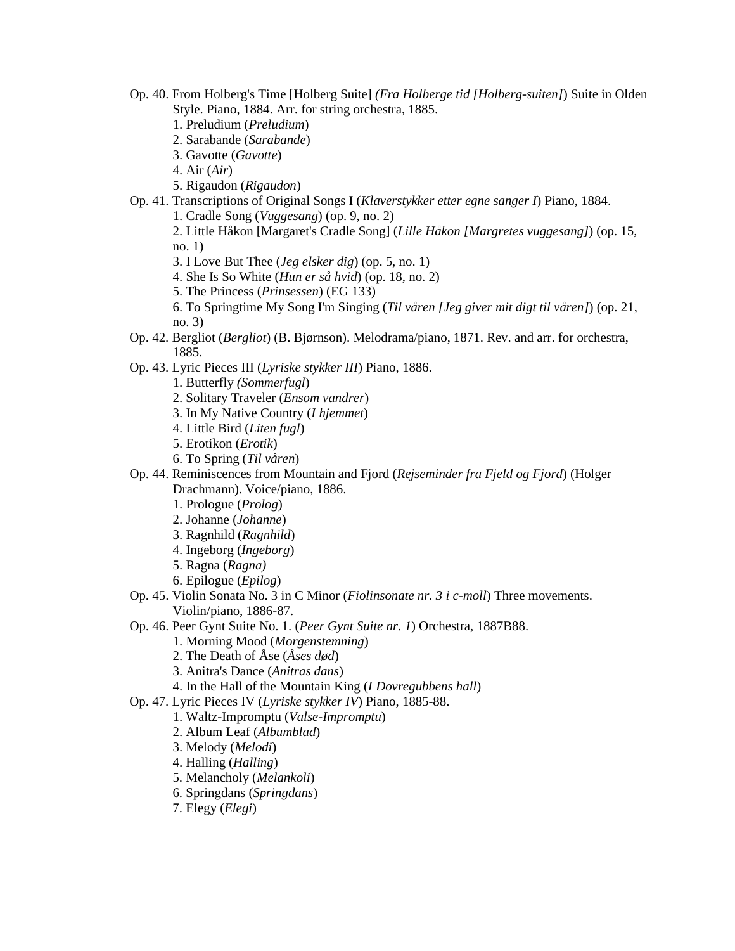- Op. 40. From Holberg's Time [Holberg Suite] *(Fra Holberge tid [Holberg-suiten]*) Suite in Olden Style. Piano, 1884. Arr. for string orchestra, 1885.
	- 1. Preludium (*Preludium*)
	- 2. Sarabande (*Sarabande*)
	- 3. Gavotte (*Gavotte*)

4. Air (*Air*)

- 5. Rigaudon (*Rigaudon*)
- Op. 41. Transcriptions of Original Songs I (*Klaverstykker etter egne sanger I*) Piano, 1884.

1. Cradle Song (*Vuggesang*) (op. 9, no. 2)

2. Little Håkon [Margaret's Cradle Song] (*Lille Håkon [Margretes vuggesang]*) (op. 15, no. 1)

- 3. I Love But Thee (*Jeg elsker dig*) (op. 5, no. 1)
- 4. She Is So White (*Hun er så hvid*) (op. 18, no. 2)
- 5. The Princess (*Prinsessen*) (EG 133)
- 6. To Springtime My Song I'm Singing (*Til våren [Jeg giver mit digt til våren]*) (op. 21, no. 3)
- Op. 42. Bergliot (*Bergliot*) (B. Bjørnson). Melodrama/piano, 1871. Rev. and arr. for orchestra, 1885.
- Op. 43. Lyric Pieces III (*Lyriske stykker III*) Piano, 1886.
	- 1. Butterfly *(Sommerfugl*)
	- 2. Solitary Traveler (*Ensom vandrer*)
	- 3. In My Native Country (*I hjemmet*)
	- 4. Little Bird (*Liten fugl*)
	- 5. Erotikon (*Erotik*)
	- 6. To Spring (*Til våren*)
- Op. 44. Reminiscences from Mountain and Fjord (*Rejseminder fra Fjeld og Fjord*) (Holger Drachmann). Voice/piano, 1886.
	- 1. Prologue (*Prolog*)
	- 2. Johanne (*Johanne*)
	- 3. Ragnhild (*Ragnhild*)
	- 4. Ingeborg (*Ingeborg*)
	- 5. Ragna (*Ragna)*
	- 6. Epilogue (*Epilog*)
- Op. 45. Violin Sonata No. 3 in C Minor (*Fiolinsonate nr. 3 i c-moll*) Three movements. Violin/piano, 1886-87.
- Op. 46. Peer Gynt Suite No. 1. (*Peer Gynt Suite nr. 1*) Orchestra, 1887B88.
	- 1. Morning Mood (*Morgenstemning*)
	- 2. The Death of Åse (*Åses død*)
	- 3. Anitra's Dance (*Anitras dans*)
	- 4. In the Hall of the Mountain King (*I Dovregubbens hall*)
- Op. 47. Lyric Pieces IV (*Lyriske stykker IV*) Piano, 1885-88.
	- 1. Waltz-Impromptu (*Valse-Impromptu*)
	- 2. Album Leaf (*Albumblad*)
	- 3. Melody (*Melodi*)
	- 4. Halling (*Halling*)
	- 5. Melancholy (*Melankoli*)
	- 6. Springdans (*Springdans*)
	- 7. Elegy (*Elegi*)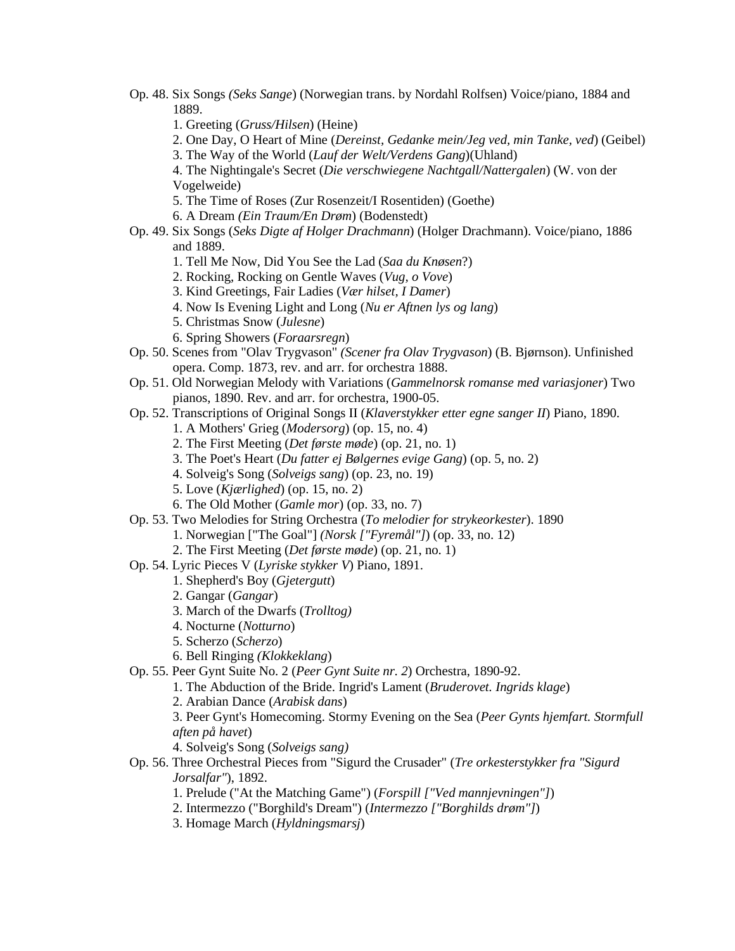- Op. 48. Six Songs *(Seks Sange*) (Norwegian trans. by Nordahl Rolfsen) Voice/piano, 1884 and 1889.
	- 1. Greeting (*Gruss/Hilsen*) (Heine)
	- 2. One Day, O Heart of Mine (*Dereinst, Gedanke mein/Jeg ved, min Tanke, ved*) (Geibel)
	- 3. The Way of the World (*Lauf der Welt/Verdens Gang*)(Uhland)

4. The Nightingale's Secret (*Die verschwiegene Nachtgall/Nattergalen*) (W. von der Vogelweide)

- 5. The Time of Roses (Zur Rosenzeit/I Rosentiden) (Goethe)
- 6. A Dream *(Ein Traum/En Drøm*) (Bodenstedt)
- Op. 49. Six Songs (*Seks Digte af Holger Drachmann*) (Holger Drachmann). Voice/piano, 1886 and 1889.
	- 1. Tell Me Now, Did You See the Lad (*Saa du Knøsen*?)
	- 2. Rocking, Rocking on Gentle Waves (*Vug, o Vove*)
	- 3. Kind Greetings, Fair Ladies (*Vær hilset, I Damer*)
	- 4. Now Is Evening Light and Long (*Nu er Aftnen lys og lang*)
	- 5. Christmas Snow (*Julesne*)
	- 6. Spring Showers (*Foraarsregn*)
- Op. 50. Scenes from "Olav Trygvason" *(Scener fra Olav Trygvason*) (B. Bjørnson). Unfinished opera. Comp. 1873, rev. and arr. for orchestra 1888.
- Op. 51. Old Norwegian Melody with Variations (*Gammelnorsk romanse med variasjoner*) Two pianos, 1890. Rev. and arr. for orchestra, 1900-05.
- Op. 52. Transcriptions of Original Songs II (*Klaverstykker etter egne sanger II*) Piano, 1890.
	- 1. A Mothers' Grieg (*Modersorg*) (op. 15, no. 4)
	- 2. The First Meeting (*Det første møde*) (op. 21, no. 1)
	- 3. The Poet's Heart (*Du fatter ej Bølgernes evige Gang*) (op. 5, no. 2)
	- 4. Solveig's Song (*Solveigs sang*) (op. 23, no. 19)
	- 5. Love (*Kjærlighed*) (op. 15, no. 2)
	- 6. The Old Mother (*Gamle mor*) (op. 33, no. 7)
- Op. 53. Two Melodies for String Orchestra (*To melodier for strykeorkester*). 1890
	- 1. Norwegian ["The Goal"] *(Norsk ["Fyremål"]*) (op. 33, no. 12)
	- 2. The First Meeting (*Det første møde*) (op. 21, no. 1)
- Op. 54. Lyric Pieces V (*Lyriske stykker V*) Piano, 1891.
	- 1. Shepherd's Boy (*Gjetergutt*)
	- 2. Gangar (*Gangar*)
	- 3. March of the Dwarfs (*Trolltog)*
	- 4. Nocturne (*Notturno*)
	- 5. Scherzo (*Scherzo*)
	- 6. Bell Ringing *(Klokkeklang*)
- Op. 55. Peer Gynt Suite No. 2 (*Peer Gynt Suite nr. 2*) Orchestra, 1890-92.
	- 1. The Abduction of the Bride. Ingrid's Lament (*Bruderovet. Ingrids klage*)
	- 2. Arabian Dance (*Arabisk dans*)
	- 3. Peer Gynt's Homecoming. Stormy Evening on the Sea (*Peer Gynts hjemfart. Stormfull aften på havet*)
	- 4. Solveig's Song (*Solveigs sang)*
- Op. 56. Three Orchestral Pieces from "Sigurd the Crusader" (*Tre orkesterstykker fra "Sigurd Jorsalfar"*), 1892.
	- 1. Prelude ("At the Matching Game") (*Forspill ["Ved mannjevningen"]*)
	- 2. Intermezzo ("Borghild's Dream") (*Intermezzo ["Borghilds drøm"]*)
	- 3. Homage March (*Hyldningsmarsj*)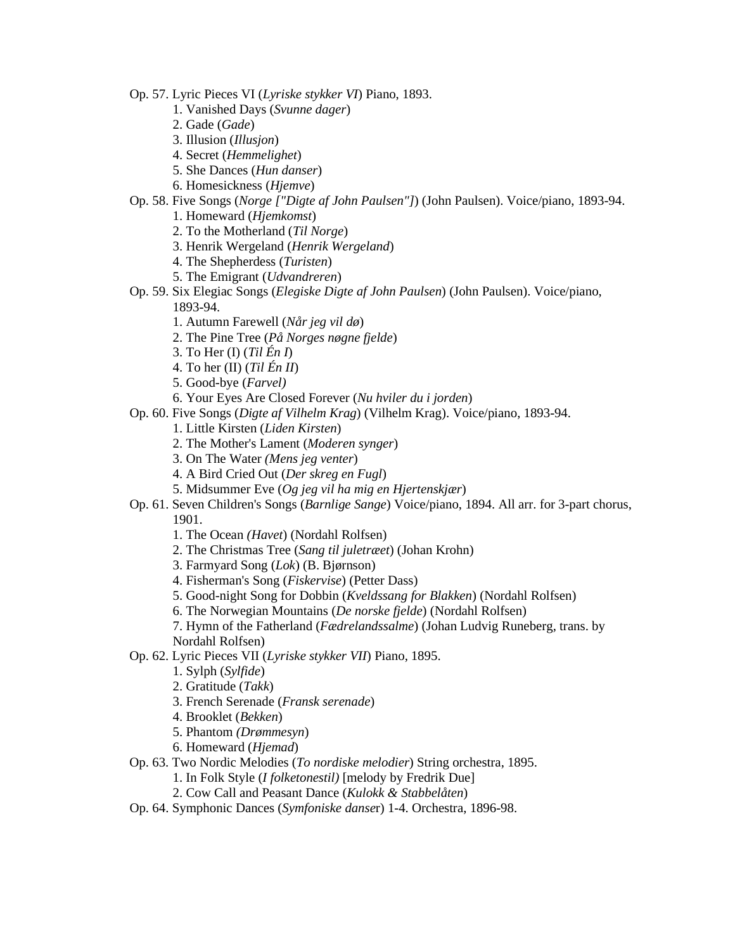- Op. 57. Lyric Pieces VI (*Lyriske stykker VI*) Piano, 1893.
	- 1. Vanished Days (*Svunne dager*)
	- 2. Gade (*Gade*)
	- 3. Illusion (*Illusjon*)
	- 4. Secret (*Hemmelighet*)
	- 5. She Dances (*Hun danser*)
	- 6. Homesickness (*Hjemve*)
- Op. 58. Five Songs (*Norge ["Digte af John Paulsen"]*) (John Paulsen). Voice/piano, 1893-94.
	- 1. Homeward (*Hjemkomst*)
	- 2. To the Motherland (*Til Norge*)
	- 3. Henrik Wergeland (*Henrik Wergeland*)
	- 4. The Shepherdess (*Turisten*)
	- 5. The Emigrant (*Udvandreren*)
- Op. 59. Six Elegiac Songs (*Elegiske Digte af John Paulsen*) (John Paulsen). Voice/piano, 1893-94.
	- 1. Autumn Farewell (*Når jeg vil dø*)
	- 2. The Pine Tree (*På Norges nøgne fjelde*)
	- 3. To Her (I) (*Til Én I*)
	- 4. To her (II) (*Til Én II*)
	- 5. Good-bye (*Farvel)*
	- 6. Your Eyes Are Closed Forever (*Nu hviler du i jorden*)
- Op. 60. Five Songs (*Digte af Vilhelm Krag*) (Vilhelm Krag). Voice/piano, 1893-94.
	- 1. Little Kirsten (*Liden Kirsten*)
	- 2. The Mother's Lament (*Moderen synger*)
	- 3. On The Water *(Mens jeg venter*)
	- 4. A Bird Cried Out (*Der skreg en Fugl*)
	- 5. Midsummer Eve (*Og jeg vil ha mig en Hjertenskjær*)
- Op. 61. Seven Children's Songs (*Barnlige Sange*) Voice/piano, 1894. All arr. for 3-part chorus, 1901.
	- 1. The Ocean *(Havet*) (Nordahl Rolfsen)
	- 2. The Christmas Tree (*Sang til juletræet*) (Johan Krohn)
	- 3. Farmyard Song (*Lok*) (B. Bjørnson)
	- 4. Fisherman's Song (*Fiskervise*) (Petter Dass)
	- 5. Good-night Song for Dobbin (*Kveldssang for Blakken*) (Nordahl Rolfsen)
	- 6. The Norwegian Mountains (*De norske fjelde*) (Nordahl Rolfsen)

7. Hymn of the Fatherland (*Fædrelandssalme*) (Johan Ludvig Runeberg, trans. by Nordahl Rolfsen)

- Op. 62. Lyric Pieces VII (*Lyriske stykker VII*) Piano, 1895.
	- 1. Sylph (*Sylfide*)
	- 2. Gratitude (*Takk*)
	- 3. French Serenade (*Fransk serenade*)
	- 4. Brooklet (*Bekken*)
	- 5. Phantom *(Drømmesyn*)
	- 6. Homeward (*Hjemad*)
- Op. 63. Two Nordic Melodies (*To nordiske melodier*) String orchestra, 1895.
	- 1. In Folk Style (*I folketonestil)* [melody by Fredrik Due]
	- 2. Cow Call and Peasant Dance (*Kulokk & Stabbelåten*)
- Op. 64. Symphonic Dances (*Symfoniske danse*r) 1-4. Orchestra, 1896-98.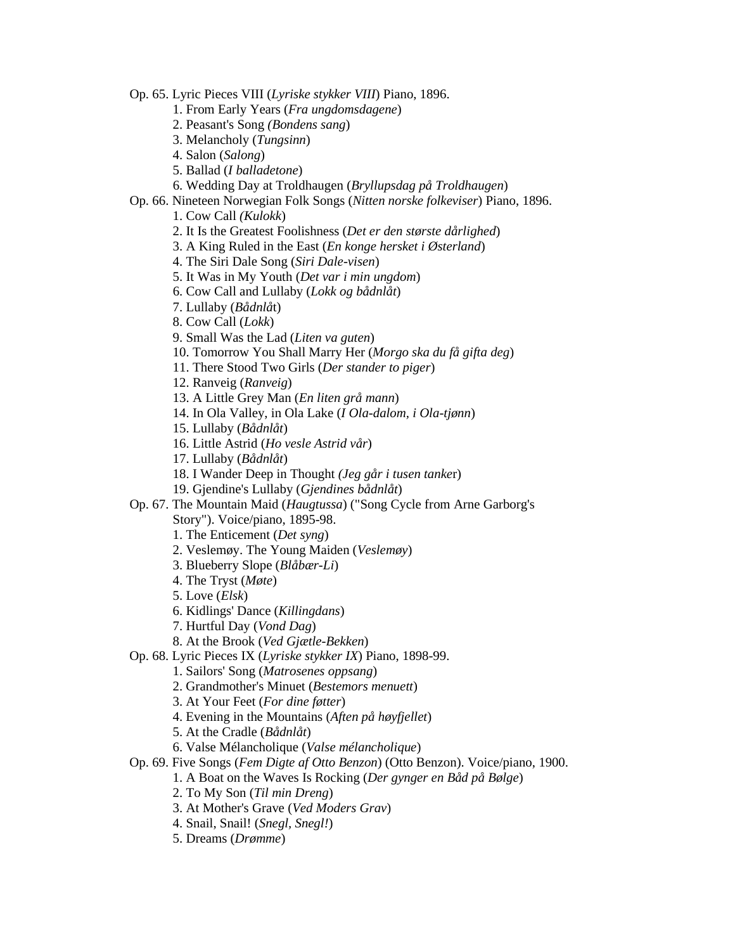Op. 65. Lyric Pieces VIII (*Lyriske stykker VIII*) Piano, 1896.

- 1. From Early Years (*Fra ungdomsdagene*)
- 2. Peasant's Song *(Bondens sang*)
- 3. Melancholy (*Tungsinn*)
- 4. Salon (*Salong*)
- 5. Ballad (*I balladetone*)
- 6. Wedding Day at Troldhaugen (*Bryllupsdag på Troldhaugen*)
- Op. 66. Nineteen Norwegian Folk Songs (*Nitten norske folkeviser*) Piano, 1896.

1. Cow Call *(Kulokk*)

- 2. It Is the Greatest Foolishness (*Det er den største dårlighed*)
- 3. A King Ruled in the East (*En konge hersket i Østerland*)
- 4. The Siri Dale Song (*Siri Dale-visen*)
- 5. It Was in My Youth (*Det var i min ungdom*)
- 6. Cow Call and Lullaby (*Lokk og bådnlåt*)
- 7. Lullaby (*Bådnlå*t)
- 8. Cow Call (*Lokk*)
- 9. Small Was the Lad (*Liten va guten*)
- 10. Tomorrow You Shall Marry Her (*Morgo ska du få gifta deg*)
- 11. There Stood Two Girls (*Der stander to piger*)
- 12. Ranveig (*Ranveig*)
- 13. A Little Grey Man (*En liten grå mann*)
- 14. In Ola Valley, in Ola Lake (*I Ola-dalom, i Ola-tjønn*)
- 15. Lullaby (*Bådnlåt*)
- 16. Little Astrid (*Ho vesle Astrid vår*)
- 17. Lullaby (*Bådnlåt*)
- 18. I Wander Deep in Thought *(Jeg går i tusen tanke*r)
- 19. Gjendine's Lullaby (*Gjendines bådnlåt*)
- Op. 67. The Mountain Maid (*Haugtussa*) ("Song Cycle from Arne Garborg's Story"). Voice/piano, 1895-98.
	- 1. The Enticement (*Det syng*)
	- 2. Veslemøy. The Young Maiden (*Veslemøy*)
	- 3. Blueberry Slope (*Blåbær-Li*)
	- 4. The Tryst (*Møte*)
	- 5. Love (*Elsk*)
	- 6. Kidlings' Dance (*Killingdans*)
	- 7. Hurtful Day (*Vond Dag*)
	- 8. At the Brook (*Ved Gjætle-Bekken*)
- Op. 68. Lyric Pieces IX (*Lyriske stykker IX*) Piano, 1898-99.
	- 1. Sailors' Song (*Matrosenes oppsang*)
	- 2. Grandmother's Minuet (*Bestemors menuett*)
	- 3. At Your Feet (*For dine føtter*)
	- 4. Evening in the Mountains (*Aften på høyfjellet*)
	- 5. At the Cradle (*Bådnlåt*)
	- 6. Valse Mélancholique (*Valse mélancholique*)
- Op. 69. Five Songs (*Fem Digte af Otto Benzon*) (Otto Benzon). Voice/piano, 1900.
	- 1. A Boat on the Waves Is Rocking (*Der gynger en Båd på Bølge*)
	- 2. To My Son (*Til min Dreng*)
	- 3. At Mother's Grave (*Ved Moders Grav*)
	- 4. Snail, Snail! (*Snegl, Snegl!*)
	- 5. Dreams (*Drømme*)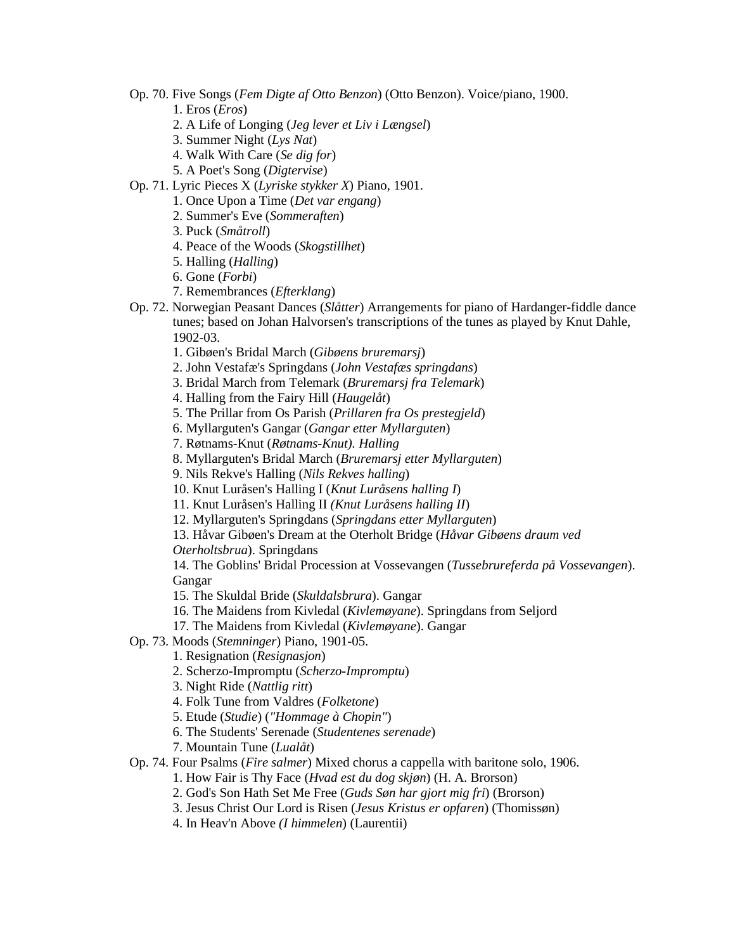- Op. 70. Five Songs (*Fem Digte af Otto Benzon*) (Otto Benzon). Voice/piano, 1900.
	- 1. Eros (*Eros*)
	- 2. A Life of Longing (*Jeg lever et Liv i Længsel*)
	- 3. Summer Night (*Lys Nat*)
	- 4. Walk With Care (*Se dig for*)
	- 5. A Poet's Song (*Digtervise*)
- Op. 71. Lyric Pieces X (*Lyriske stykker X*) Piano, 1901.
	- 1. Once Upon a Time (*Det var engang*)
	- 2. Summer's Eve (*Sommeraften*)
	- 3. Puck (*Småtroll*)
	- 4. Peace of the Woods (*Skogstillhet*)
	- 5. Halling (*Halling*)
	- 6. Gone (*Forbi*)
	- 7. Remembrances (*Efterklang*)
- Op. 72. Norwegian Peasant Dances (*Slåtter*) Arrangements for piano of Hardanger-fiddle dance tunes; based on Johan Halvorsen's transcriptions of the tunes as played by Knut Dahle, 1902-03.
	- 1. Gibøen's Bridal March (*Gibøens bruremarsj*)
	- 2. John Vestafæ's Springdans (*John Vestafæs springdans*)
	- 3. Bridal March from Telemark (*Bruremarsj fra Telemark*)
	- 4. Halling from the Fairy Hill (*Haugelåt*)
	- 5. The Prillar from Os Parish (*Prillaren fra Os prestegjeld*)
	- 6. Myllarguten's Gangar (*Gangar etter Myllarguten*)
	- 7. Røtnams-Knut (*Røtnams-Knut). Halling*
	- 8. Myllarguten's Bridal March (*Bruremarsj etter Myllarguten*)
	- 9. Nils Rekve's Halling (*Nils Rekves halling*)
	- 10. Knut Luråsen's Halling I (*Knut Luråsens halling I*)
	- 11. Knut Luråsen's Halling II *(Knut Luråsens halling II*)
	- 12. Myllarguten's Springdans (*Springdans etter Myllarguten*)
	- 13. Håvar Gibøen's Dream at the Oterholt Bridge (*Håvar Gibøens draum ved*

*Oterholtsbrua*). Springdans

14. The Goblins' Bridal Procession at Vossevangen (*Tussebrureferda på Vossevangen*). Gangar

15. The Skuldal Bride (*Skuldalsbrura*). Gangar

- 16. The Maidens from Kivledal (*Kivlemøyane*). Springdans from Seljord
- 17. The Maidens from Kivledal (*Kivlemøyane*). Gangar
- Op. 73. Moods (*Stemninger*) Piano, 1901*-*05.
	- 1. Resignation (*Resignasjon*)
	- 2. Scherzo-Impromptu (*Scherzo-Impromptu*)
	- 3. Night Ride (*Nattlig ritt*)
	- 4. Folk Tune from Valdres (*Folketone*)
	- 5. Etude (*Studie*) (*"Hommage à Chopin"*)
	- 6. The Students' Serenade (*Studentenes serenade*)
	- 7. Mountain Tune (*Lualåt*)
- Op. 74. Four Psalms (*Fire salmer*) Mixed chorus a cappella with baritone solo, 1906.
	- 1. How Fair is Thy Face (*Hvad est du dog skjøn*) (H. A. Brorson)
	- 2. God's Son Hath Set Me Free (*Guds Søn har gjort mig fri*) (Brorson)
	- 3. Jesus Christ Our Lord is Risen (*Jesus Kristus er opfaren*) (Thomissøn)
	- 4. In Heav'n Above *(I himmelen*) (Laurentii)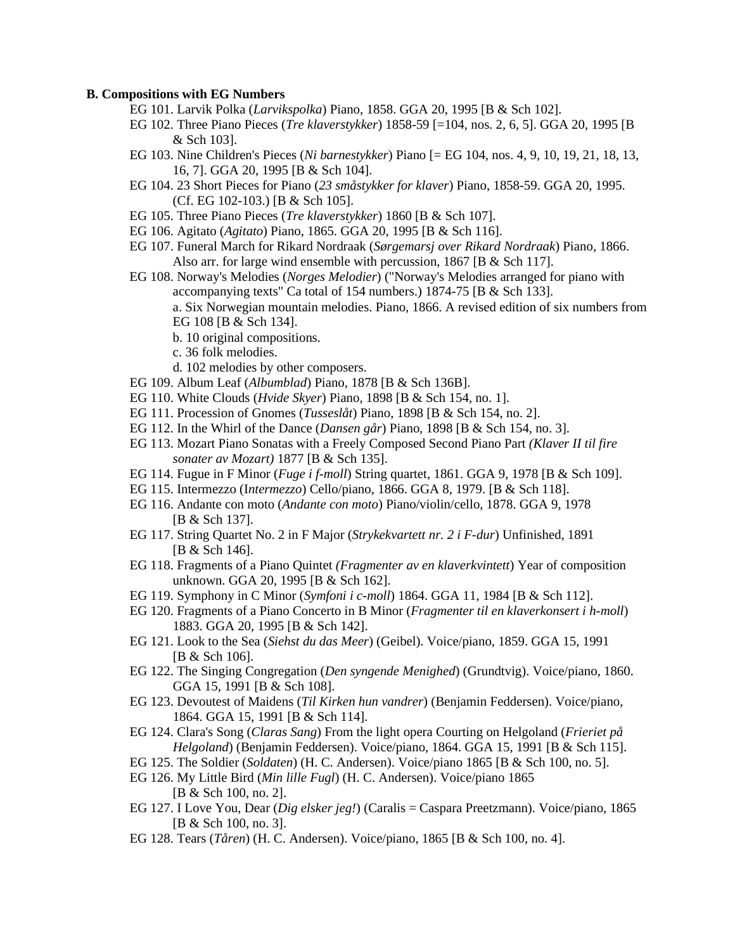## **B. Compositions with EG Numbers**

- EG 101. Larvik Polka (*Larvikspolka*) Piano, 1858. GGA 20, 1995 [B & Sch 102].
- EG 102. Three Piano Pieces (*Tre klaverstykker*) 1858-59 [=104, nos. 2, 6, 5]. GGA 20, 1995 [B & Sch 103].
- EG 103. Nine Children's Pieces (*Ni barnestykker*) Piano [= EG 104, nos. 4, 9, 10, 19, 21, 18, 13, 16, 7]. GGA 20, 1995 [B & Sch 104].
- EG 104. 23 Short Pieces for Piano (*23 småstykker for klaver*) Piano, 1858-59. GGA 20, 1995. (Cf. EG 102-103.) [B & Sch 105].
- EG 105. Three Piano Pieces (*Tre klaverstykker*) 1860 [B & Sch 107].
- EG 106. Agitato (*Agitato*) Piano, 1865. GGA 20, 1995 [B & Sch 116].
- EG 107. Funeral March for Rikard Nordraak (*Sørgemarsj over Rikard Nordraak*) Piano, 1866. Also arr. for large wind ensemble with percussion, 1867 [B & Sch 117].
- EG 108. Norway's Melodies (*Norges Melodier*) ("Norway's Melodies arranged for piano with accompanying texts" Ca total of 154 numbers.) 1874-75 [B & Sch 133]. a. Six Norwegian mountain melodies. Piano, 1866. A revised edition of six numbers from EG 108 [B & Sch 134].
	- b. 10 original compositions.
	- c. 36 folk melodies.
	- d. 102 melodies by other composers.
- EG 109. Album Leaf (*Albumblad*) Piano, 1878 [B & Sch 136B].
- EG 110. White Clouds (*Hvide Skyer*) Piano, 1898 [B & Sch 154, no. 1].
- EG 111. Procession of Gnomes (*Tusseslåt*) Piano, 1898 [B & Sch 154, no. 2].
- EG 112. In the Whirl of the Dance (*Dansen går*) Piano, 1898 [B & Sch 154, no. 3].
- EG 113. Mozart Piano Sonatas with a Freely Composed Second Piano Part *(Klaver II til fire sonater av Mozart)* 1877 [B & Sch 135].
- EG 114. Fugue in F Minor (*Fuge i f-moll*) String quartet, 1861. GGA 9, 1978 [B & Sch 109].
- EG 115. Intermezzo (I*ntermezzo*) Cello/piano, 1866. GGA 8, 1979. [B & Sch 118].
- EG 116. Andante con moto (*Andante con moto*) Piano/violin/cello, 1878. GGA 9, 1978 [B & Sch 137].
- EG 117. String Quartet No. 2 in F Major (*Strykekvartett nr. 2 i F-dur*) Unfinished, 1891 [B & Sch 146].
- EG 118. Fragments of a Piano Quintet *(Fragmenter av en klaverkvintett*) Year of composition unknown. GGA 20, 1995 [B & Sch 162].
- EG 119. Symphony in C Minor (*Symfoni i c-moll*) 1864. GGA 11, 1984 [B & Sch 112].
- EG 120. Fragments of a Piano Concerto in B Minor (*Fragmenter til en klaverkonsert i h-moll*) 1883. GGA 20, 1995 [B & Sch 142].
- EG 121. Look to the Sea (*Siehst du das Meer*) (Geibel). Voice/piano, 1859. GGA 15, 1991 [B & Sch 106].
- EG 122. The Singing Congregation (*Den syngende Menighed*) (Grundtvig). Voice/piano, 1860. GGA 15, 1991 [B & Sch 108].
- EG 123. Devoutest of Maidens (*Til Kirken hun vandrer*) (Benjamin Feddersen). Voice/piano, 1864. GGA 15, 1991 [B & Sch 114].
- EG 124. Clara's Song (*Claras Sang*) From the light opera Courting on Helgoland (*Frieriet på Helgoland*) (Benjamin Feddersen). Voice/piano, 1864. GGA 15, 1991 [B & Sch 115].
- EG 125. The Soldier (*Soldaten*) (H. C. Andersen). Voice/piano 1865 [B & Sch 100, no. 5].
- EG 126. My Little Bird (*Min lille Fugl*) (H. C. Andersen). Voice/piano 1865 [B & Sch 100, no. 2].
- EG 127. I Love You, Dear (*Dig elsker jeg!*) (Caralis = Caspara Preetzmann). Voice/piano, 1865 [B & Sch 100, no. 3].
- EG 128. Tears (*Tåren*) (H. C. Andersen). Voice/piano, 1865 [B & Sch 100, no. 4].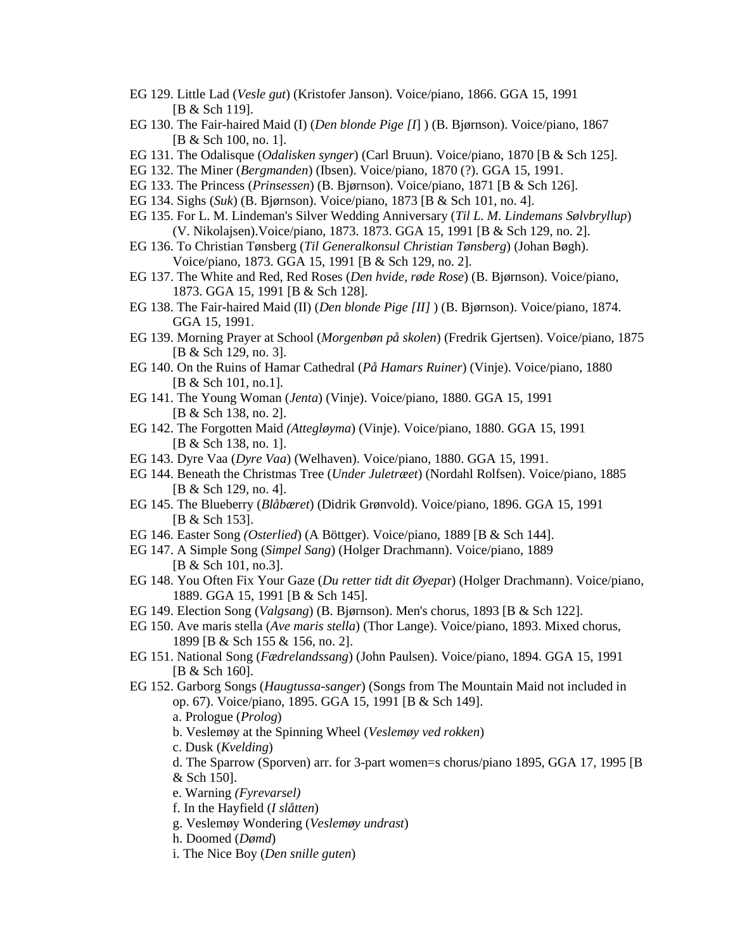- EG 129. Little Lad (*Vesle gut*) (Kristofer Janson). Voice/piano, 1866. GGA 15, 1991 [B & Sch 119].
- EG 130. The Fair-haired Maid (I) (*Den blonde Pige [I*] ) (B. Bjørnson). Voice/piano, 1867 [B & Sch 100, no. 1].
- EG 131. The Odalisque (*Odalisken synger*) (Carl Bruun). Voice/piano, 1870 [B & Sch 125].
- EG 132. The Miner (*Bergmanden*) (Ibsen). Voice/piano, 1870 (?). GGA 15, 1991.
- EG 133. The Princess (*Prinsessen*) (B. Bjørnson). Voice/piano, 1871 [B & Sch 126].
- EG 134. Sighs (*Suk*) (B. Bjørnson). Voice/piano, 1873 [B & Sch 101, no. 4].
- EG 135. For L. M. Lindeman's Silver Wedding Anniversary (*Til L. M. Lindemans Sølvbryllup*) (V. Nikolajsen).Voice/piano, 1873. 1873. GGA 15, 1991 [B & Sch 129, no. 2].
- EG 136. To Christian Tønsberg (*Til Generalkonsul Christian Tønsberg*) (Johan Bøgh). Voice/piano, 1873. GGA 15, 1991 [B & Sch 129, no. 2].
- EG 137. The White and Red, Red Roses (*Den hvide, røde Rose*) (B. Bjørnson). Voice/piano, 1873. GGA 15, 1991 [B & Sch 128].
- EG 138. The Fair-haired Maid (II) (*Den blonde Pige [II]* ) (B. Bjørnson). Voice/piano, 1874. GGA 15, 1991.
- EG 139. Morning Prayer at School (*Morgenbøn på skolen*) (Fredrik Gjertsen). Voice/piano, 1875 [B & Sch 129, no. 3].
- EG 140. On the Ruins of Hamar Cathedral (*På Hamars Ruiner*) (Vinje). Voice/piano, 1880 [B & Sch 101, no.1].
- EG 141. The Young Woman (*Jenta*) (Vinje). Voice/piano, 1880. GGA 15, 1991 [B & Sch 138, no. 2].
- EG 142. The Forgotten Maid *(Attegløyma*) (Vinje). Voice/piano, 1880. GGA 15, 1991 [B & Sch 138, no. 1].
- EG 143. Dyre Vaa (*Dyre Vaa*) (Welhaven). Voice/piano, 1880. GGA 15, 1991.
- EG 144. Beneath the Christmas Tree (*Under Juletræet*) (Nordahl Rolfsen). Voice/piano, 1885 [B & Sch 129, no. 4].
- EG 145. The Blueberry (*Blåbæret*) (Didrik Grønvold). Voice/piano, 1896. GGA 15, 1991 [B & Sch 153].
- EG 146. Easter Song *(Osterlied*) (A Böttger). Voice/piano, 1889 [B & Sch 144].
- EG 147. A Simple Song (*Simpel Sang*) (Holger Drachmann). Voice/piano, 1889 [B & Sch 101, no.3].
- EG 148. You Often Fix Your Gaze (*Du retter tidt dit Øyepa*r) (Holger Drachmann). Voice/piano, 1889. GGA 15, 1991 [B & Sch 145].
- EG 149. Election Song (*Valgsang*) (B. Bjørnson). Men's chorus, 1893 [B & Sch 122].
- EG 150. Ave maris stella (*Ave maris stella*) (Thor Lange). Voice/piano, 1893. Mixed chorus, 1899 [B & Sch 155 & 156, no. 2].
- EG 151. National Song (*Fædrelandssang*) (John Paulsen). Voice/piano, 1894. GGA 15, 1991 [B & Sch 160].
- EG 152. Garborg Songs (*Haugtussa-sanger*) (Songs from The Mountain Maid not included in op. 67). Voice/piano, 1895. GGA 15, 1991 [B & Sch 149].
	- a. Prologue (*Prolog*)
	- b. Veslemøy at the Spinning Wheel (*Veslemøy ved rokken*)
	- c. Dusk (*Kvelding*)
	- d. The Sparrow (Sporven) arr. for 3-part women=s chorus/piano 1895, GGA 17, 1995 [B & Sch 150].
	- e. Warning *(Fyrevarsel)*
	- f. In the Hayfield (*I slåtten*)
	- g. Veslemøy Wondering (*Veslemøy undrast*)
	- h. Doomed (*Dømd*)
	- i. The Nice Boy (*Den snille guten*)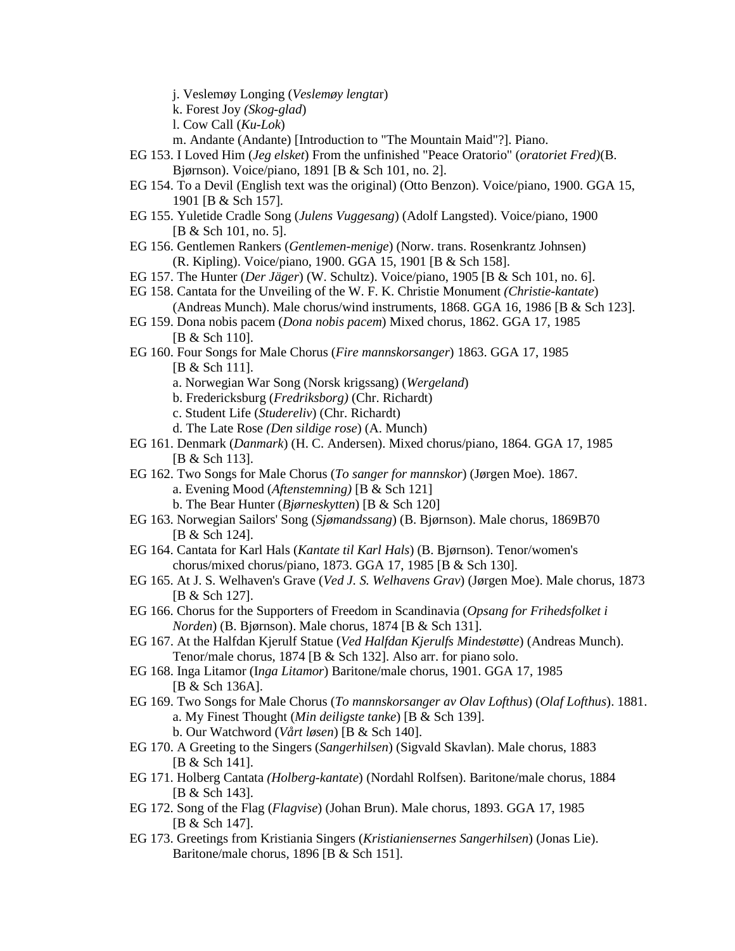j. Veslemøy Longing (*Veslemøy lengta*r)

k. Forest Joy *(Skog-glad*)

l. Cow Call (*Ku-Lok*)

m. Andante (Andante) [Introduction to "The Mountain Maid"?]. Piano.

- EG 153. I Loved Him (*Jeg elsket*) From the unfinished "Peace Oratorio" (*oratoriet Fred)*(B. Bjørnson). Voice/piano, 1891 [B & Sch 101, no. 2].
- EG 154. To a Devil (English text was the original) (Otto Benzon). Voice/piano, 1900. GGA 15, 1901 [B & Sch 157].
- EG 155. Yuletide Cradle Song (*Julens Vuggesang*) (Adolf Langsted). Voice/piano, 1900 [B & Sch 101, no. 5].
- EG 156. Gentlemen Rankers (*Gentlemen-menige*) (Norw. trans. Rosenkrantz Johnsen) (R. Kipling). Voice/piano, 1900. GGA 15, 1901 [B & Sch 158].
- EG 157. The Hunter (*Der Jäger*) (W. Schultz). Voice/piano, 1905 [B & Sch 101, no. 6].
- EG 158. Cantata for the Unveiling of the W. F. K. Christie Monument *(Christie-kantate*) (Andreas Munch). Male chorus/wind instruments, 1868. GGA 16, 1986 [B & Sch 123].
- EG 159. Dona nobis pacem (*Dona nobis pacem*) Mixed chorus, 1862. GGA 17, 1985 [B & Sch 110].
- EG 160. Four Songs for Male Chorus (*Fire mannskorsanger*) 1863. GGA 17, 1985 [B & Sch 111].
	- a. Norwegian War Song (Norsk krigssang) (*Wergeland*)
	- b. Fredericksburg (*Fredriksborg)* (Chr. Richardt)
	- c. Student Life (*Studereliv*) (Chr. Richardt)
	- d. The Late Rose *(Den sildige rose*) (A. Munch)
- EG 161. Denmark (*Danmark*) (H. C. Andersen). Mixed chorus/piano, 1864. GGA 17, 1985 [B & Sch 113].
- EG 162. Two Songs for Male Chorus (*To sanger for mannskor*) (Jørgen Moe). 1867. a. Evening Mood (*Aftenstemning)* [B & Sch 121]
	- b. The Bear Hunter (*Bjørneskytten*) [B & Sch 120]
- EG 163. Norwegian Sailors' Song (*Sjømandssang*) (B. Bjørnson). Male chorus, 1869B70 [B & Sch 124].
- EG 164. Cantata for Karl Hals (*Kantate til Karl Hals*) (B. Bjørnson). Tenor/women's chorus/mixed chorus/piano, 1873. GGA 17, 1985 [B & Sch 130].
- EG 165. At J. S. Welhaven's Grave (*Ved J. S. Welhavens Grav*) (Jørgen Moe). Male chorus, 1873 [B & Sch 127].
- EG 166. Chorus for the Supporters of Freedom in Scandinavia (*Opsang for Frihedsfolket i Norden*) (B. Bjørnson). Male chorus, 1874 [B & Sch 131].
- EG 167. At the Halfdan Kjerulf Statue (*Ved Halfdan Kjerulfs Mindestøtte*) (Andreas Munch). Tenor/male chorus, 1874 [B & Sch 132]. Also arr. for piano solo.
- EG 168. Inga Litamor (I*nga Litamor*) Baritone/male chorus, 1901. GGA 17, 1985 [B & Sch 136A].
- EG 169. Two Songs for Male Chorus (*To mannskorsanger av Olav Lofthus*) (*Olaf Lofthus*). 1881. a. My Finest Thought (*Min deiligste tanke*) [B & Sch 139].
	- b. Our Watchword (*Vårt løsen*) [B & Sch 140].
- EG 170. A Greeting to the Singers (*Sangerhilsen*) (Sigvald Skavlan). Male chorus, 1883 [B & Sch 141].
- EG 171. Holberg Cantata *(Holberg-kantate*) (Nordahl Rolfsen). Baritone/male chorus, 1884 [B & Sch 143].
- EG 172. Song of the Flag (*Flagvise*) (Johan Brun). Male chorus, 1893. GGA 17, 1985 [B & Sch 147].
- EG 173. Greetings from Kristiania Singers (*Kristianiensernes Sangerhilsen*) (Jonas Lie). Baritone/male chorus, 1896 [B & Sch 151].